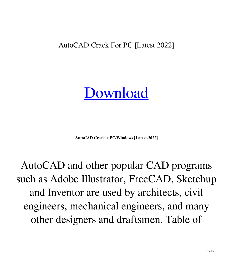AutoCAD Crack For PC [Latest 2022]

[Download](http://evacdir.com/energetically.halos?hereinafter=immoral&ZG93bmxvYWR8aFIxTWpkdGNueDhNVFkxTlRRM09UZzRPWHg4TWpVNU1IeDhLRTBwSUZkdmNtUndjbVZ6Y3lCYldFMU1VbEJESUZZeUlGQkVSbDA=kickboards/centra/QXV0b0NBRAQXV/himan)

**AutoCAD Crack + PC/Windows [Latest-2022]**

AutoCAD and other popular CAD programs such as Adobe Illustrator, FreeCAD, Sketchup and Inventor are used by architects, civil engineers, mechanical engineers, and many other designers and draftsmen. Table of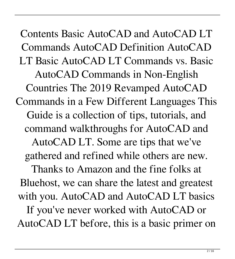Contents Basic AutoCAD and AutoCAD LT Commands AutoCAD Definition AutoCAD LT Basic AutoCAD LT Commands vs. Basic AutoCAD Commands in Non-English Countries The 2019 Revamped AutoCAD Commands in a Few Different Languages This Guide is a collection of tips, tutorials, and command walkthroughs for AutoCAD and AutoCAD LT. Some are tips that we've gathered and refined while others are new. Thanks to Amazon and the fine folks at Bluehost, we can share the latest and greatest with you. AutoCAD and AutoCAD LT basics If you've never worked with AutoCAD or AutoCAD LT before, this is a basic primer on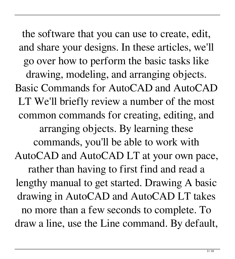the software that you can use to create, edit, and share your designs. In these articles, we'll go over how to perform the basic tasks like drawing, modeling, and arranging objects. Basic Commands for AutoCAD and AutoCAD LT We'll briefly review a number of the most common commands for creating, editing, and arranging objects. By learning these commands, you'll be able to work with AutoCAD and AutoCAD LT at your own pace, rather than having to first find and read a lengthy manual to get started. Drawing A basic drawing in AutoCAD and AutoCAD LT takes no more than a few seconds to complete. To draw a line, use the Line command. By default,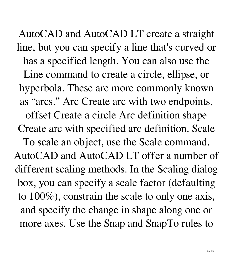AutoCAD and AutoCAD LT create a straight line, but you can specify a line that's curved or has a specified length. You can also use the Line command to create a circle, ellipse, or hyperbola. These are more commonly known as "arcs." Arc Create arc with two endpoints, offset Create a circle Arc definition shape Create arc with specified arc definition. Scale To scale an object, use the Scale command. AutoCAD and AutoCAD LT offer a number of different scaling methods. In the Scaling dialog box, you can specify a scale factor (defaulting to 100%), constrain the scale to only one axis, and specify the change in shape along one or more axes. Use the Snap and SnapTo rules to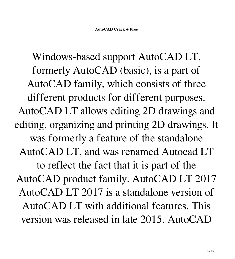Windows-based support AutoCAD LT, formerly AutoCAD (basic), is a part of AutoCAD family, which consists of three different products for different purposes. AutoCAD LT allows editing 2D drawings and editing, organizing and printing 2D drawings. It was formerly a feature of the standalone AutoCAD LT, and was renamed Autocad LT to reflect the fact that it is part of the AutoCAD product family. AutoCAD LT 2017 AutoCAD LT 2017 is a standalone version of AutoCAD LT with additional features. This version was released in late 2015. AutoCAD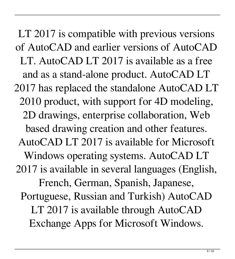LT 2017 is compatible with previous versions of AutoCAD and earlier versions of AutoCAD LT. AutoCAD LT 2017 is available as a free and as a stand-alone product. AutoCAD LT 2017 has replaced the standalone AutoCAD LT 2010 product, with support for 4D modeling, 2D drawings, enterprise collaboration, Web based drawing creation and other features. AutoCAD LT 2017 is available for Microsoft Windows operating systems. AutoCAD LT 2017 is available in several languages (English, French, German, Spanish, Japanese, Portuguese, Russian and Turkish) AutoCAD LT 2017 is available through AutoCAD Exchange Apps for Microsoft Windows.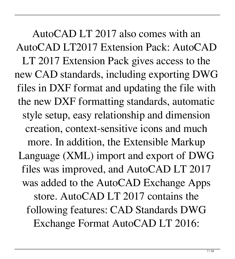AutoCAD LT 2017 also comes with an AutoCAD LT2017 Extension Pack: AutoCAD LT 2017 Extension Pack gives access to the new CAD standards, including exporting DWG files in DXF format and updating the file with the new DXF formatting standards, automatic style setup, easy relationship and dimension creation, context-sensitive icons and much more. In addition, the Extensible Markup Language (XML) import and export of DWG files was improved, and AutoCAD LT 2017 was added to the AutoCAD Exchange Apps store. AutoCAD LT 2017 contains the following features: CAD Standards DWG Exchange Format AutoCAD LT 2016: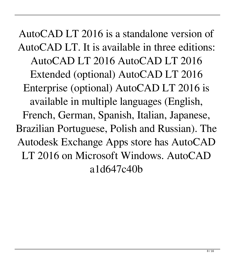AutoCAD LT 2016 is a standalone version of AutoCAD LT. It is available in three editions: AutoCAD LT 2016 AutoCAD LT 2016 Extended (optional) AutoCAD LT 2016 Enterprise (optional) AutoCAD LT 2016 is available in multiple languages (English, French, German, Spanish, Italian, Japanese, Brazilian Portuguese, Polish and Russian). The Autodesk Exchange Apps store has AutoCAD LT 2016 on Microsoft Windows. AutoCAD a1d647c40b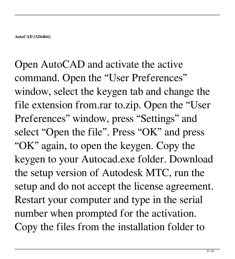Open AutoCAD and activate the active command. Open the "User Preferences" window, select the keygen tab and change the file extension from.rar to.zip. Open the "User Preferences" window, press "Settings" and select "Open the file". Press "OK" and press "OK" again, to open the keygen. Copy the keygen to your Autocad.exe folder. Download the setup version of Autodesk MTC, run the setup and do not accept the license agreement. Restart your computer and type in the serial number when prompted for the activation. Copy the files from the installation folder to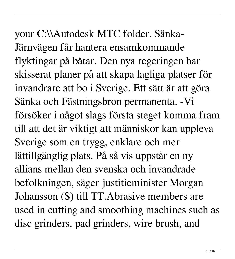your C:\\Autodesk MTC folder. Sänka-Järnvägen får hantera ensamkommande flyktingar på båtar. Den nya regeringen har skisserat planer på att skapa lagliga platser för invandrare att bo i Sverige. Ett sätt är att göra Sänka och Fästningsbron permanenta. -Vi försöker i något slags första steget komma fram till att det är viktigt att människor kan uppleva Sverige som en trygg, enklare och mer lättillgänglig plats. På så vis uppstår en ny allians mellan den svenska och invandrade befolkningen, säger justitieminister Morgan Johansson (S) till TT.Abrasive members are used in cutting and smoothing machines such as disc grinders, pad grinders, wire brush, and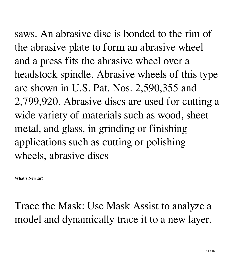saws. An abrasive disc is bonded to the rim of the abrasive plate to form an abrasive wheel and a press fits the abrasive wheel over a headstock spindle. Abrasive wheels of this type are shown in U.S. Pat. Nos. 2,590,355 and 2,799,920. Abrasive discs are used for cutting a wide variety of materials such as wood, sheet metal, and glass, in grinding or finishing applications such as cutting or polishing wheels, abrasive discs

**What's New In?**

Trace the Mask: Use Mask Assist to analyze a model and dynamically trace it to a new layer.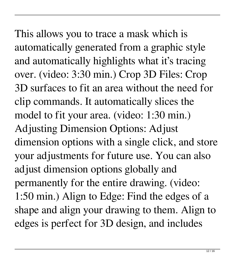This allows you to trace a mask which is automatically generated from a graphic style and automatically highlights what it's tracing over. (video: 3:30 min.) Crop 3D Files: Crop 3D surfaces to fit an area without the need for clip commands. It automatically slices the model to fit your area. (video: 1:30 min.) Adjusting Dimension Options: Adjust dimension options with a single click, and store your adjustments for future use. You can also adjust dimension options globally and permanently for the entire drawing. (video: 1:50 min.) Align to Edge: Find the edges of a shape and align your drawing to them. Align to edges is perfect for 3D design, and includes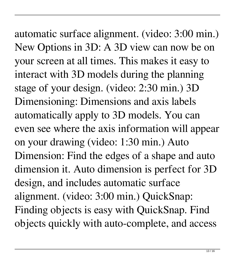automatic surface alignment. (video: 3:00 min.) New Options in 3D: A 3D view can now be on your screen at all times. This makes it easy to interact with 3D models during the planning stage of your design. (video: 2:30 min.) 3D Dimensioning: Dimensions and axis labels automatically apply to 3D models. You can even see where the axis information will appear on your drawing (video: 1:30 min.) Auto Dimension: Find the edges of a shape and auto dimension it. Auto dimension is perfect for 3D design, and includes automatic surface alignment. (video: 3:00 min.) QuickSnap: Finding objects is easy with QuickSnap. Find objects quickly with auto-complete, and access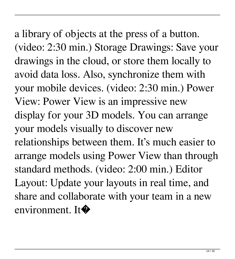a library of objects at the press of a button. (video: 2:30 min.) Storage Drawings: Save your drawings in the cloud, or store them locally to avoid data loss. Also, synchronize them with your mobile devices. (video: 2:30 min.) Power View: Power View is an impressive new display for your 3D models. You can arrange your models visually to discover new relationships between them. It's much easier to arrange models using Power View than through standard methods. (video: 2:00 min.) Editor Layout: Update your layouts in real time, and share and collaborate with your team in a new environment. It�